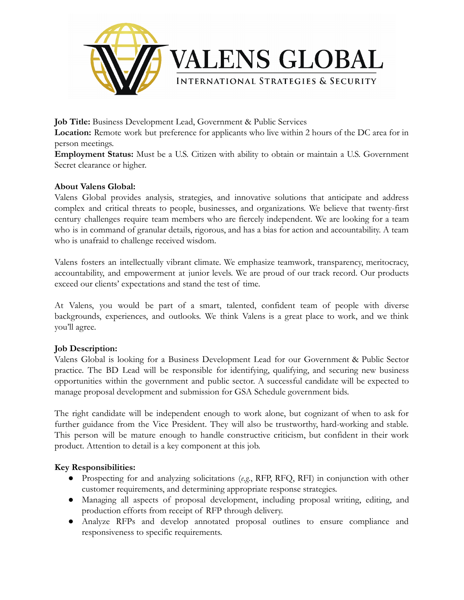

**Job Title:** Business Development Lead, Government & Public Services

**Location:** Remote work but preference for applicants who live within 2 hours of the DC area for in person meetings.

**Employment Status:** Must be a U.S. Citizen with ability to obtain or maintain a U.S. Government Secret clearance or higher.

# **About Valens Global:**

Valens Global provides analysis, strategies, and innovative solutions that anticipate and address complex and critical threats to people, businesses, and organizations. We believe that twenty-first century challenges require team members who are fiercely independent. We are looking for a team who is in command of granular details, rigorous, and has a bias for action and accountability. A team who is unafraid to challenge received wisdom.

Valens fosters an intellectually vibrant climate. We emphasize teamwork, transparency, meritocracy, accountability, and empowerment at junior levels. We are proud of our track record. Our products exceed our clients' expectations and stand the test of time.

At Valens, you would be part of a smart, talented, confident team of people with diverse backgrounds, experiences, and outlooks. We think Valens is a great place to work, and we think you'll agree.

# **Job Description:**

Valens Global is looking for a Business Development Lead for our Government & Public Sector practice. The BD Lead will be responsible for identifying, qualifying, and securing new business opportunities within the government and public sector. A successful candidate will be expected to manage proposal development and submission for GSA Schedule government bids.

The right candidate will be independent enough to work alone, but cognizant of when to ask for further guidance from the Vice President. They will also be trustworthy, hard-working and stable. This person will be mature enough to handle constructive criticism, but confident in their work product. Attention to detail is a key component at this job.

# **Key Responsibilities:**

- Prospecting for and analyzing solicitations (*e.g*., RFP, RFQ, RFI) in conjunction with other customer requirements, and determining appropriate response strategies.
- Managing all aspects of proposal development, including proposal writing, editing, and production efforts from receipt of RFP through delivery.
- Analyze RFPs and develop annotated proposal outlines to ensure compliance and responsiveness to specific requirements.